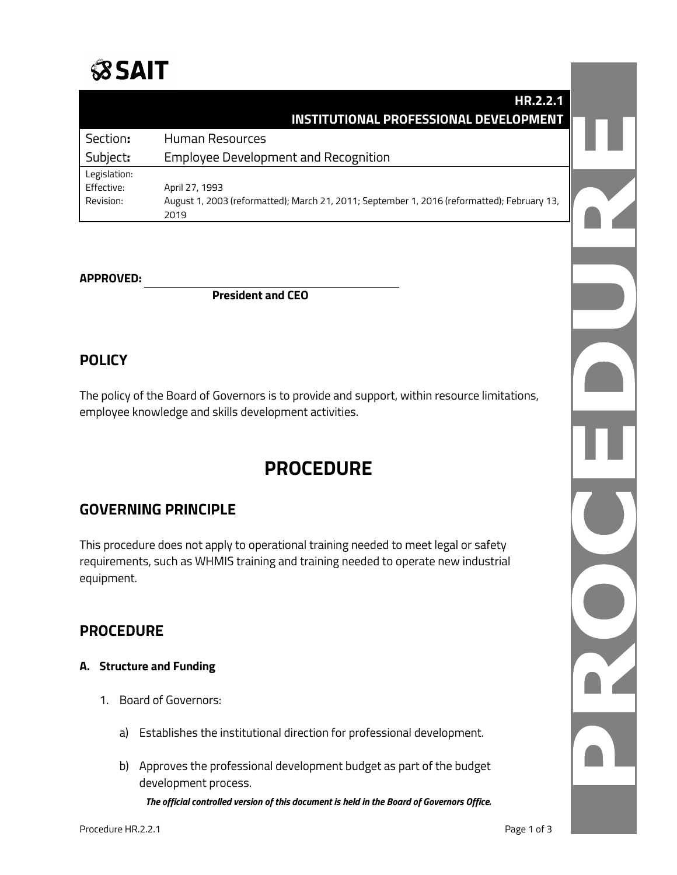# **SSAIT**

|              | HR.2.2.1                                                                                            |  |
|--------------|-----------------------------------------------------------------------------------------------------|--|
|              | <b>INSTITUTIONAL PROFESSIONAL DEVELOPMENT</b>                                                       |  |
| Section:     | Human Resources                                                                                     |  |
| Subject:     | <b>Employee Development and Recognition</b>                                                         |  |
| Legislation: |                                                                                                     |  |
| Effective:   | April 27, 1993                                                                                      |  |
| Revision:    | August 1, 2003 (reformatted); March 21, 2011; September 1, 2016 (reformatted); February 13,<br>2019 |  |
|              |                                                                                                     |  |

#### **APPROVED:**

**President and CEO**

# **POLICY**

The policy of the Board of Governors is to provide and support, within resource limitations, employee knowledge and skills development activities.

# **PROCEDURE**

# **GOVERNING PRINCIPLE**

This procedure does not apply to operational training needed to meet legal or safety requirements, such as WHMIS training and training needed to operate new industrial equipment.

### **PROCEDURE**

#### **A. Structure and Funding**

- 1. Board of Governors:
	- a) Establishes the institutional direction for professional development.
	- b) Approves the professional development budget as part of the budget development process.

*The official controlled version of this document is held in the Board of Governors Office.*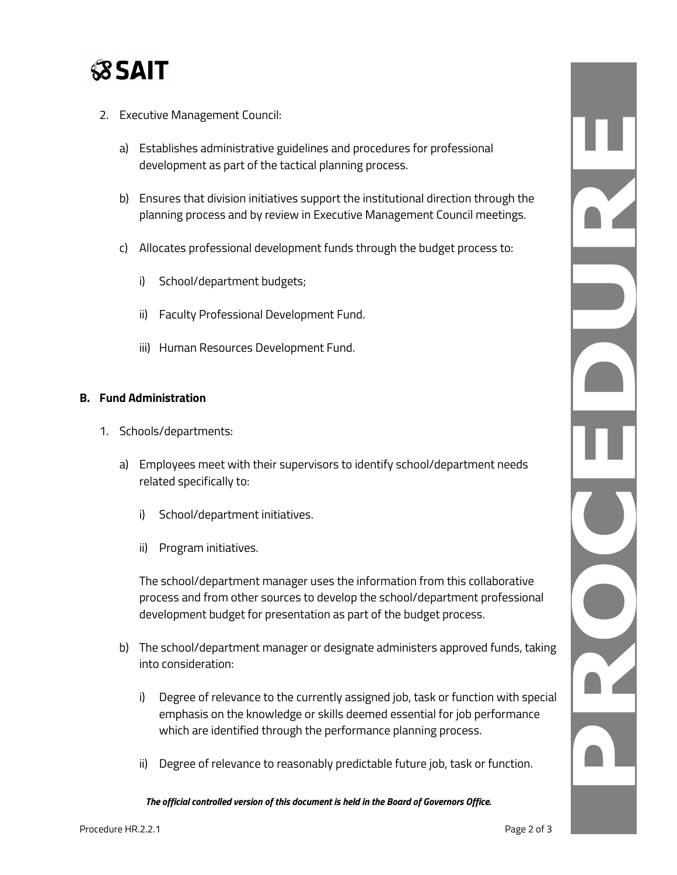

- 2. Executive Management Council:
	- a) Establishes administrative guidelines and procedures for professional development as part of the tactical planning process.
	- b) Ensures that division initiatives support the institutional direction through the planning process and by review in Executive Management Council meetings.
	- c) Allocates professional development funds through the budget process to:
		- i) School/department budgets;
		- ii) Faculty Professional Development Fund.
		- iii) Human Resources Development Fund.

#### **B. Fund Administration**

- 1. Schools/departments:
	- a) Employees meet with their supervisors to identify school/department needs related specifically to:
		- i) School/department initiatives.
		- ii) Program initiatives.

The school/department manager uses the information from this collaborative process and from other sources to develop the school/department professional development budget for presentation as part of the budget process.

- b) The school/department manager or designate administers approved funds, taking into consideration:
	- i) Degree of relevance to the currently assigned job, task or function with special emphasis on the knowledge or skills deemed essential for job performance which are identified through the performance planning process.
	- ii) Degree of relevance to reasonably predictable future job, task or function.

*The official controlled version of this document is held in the Board of Governors Office.*